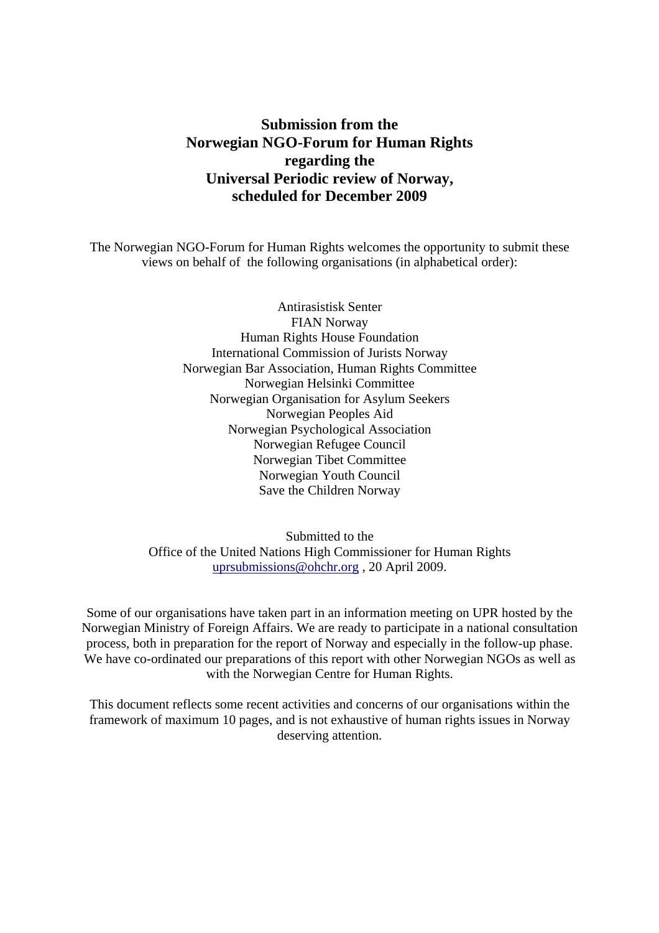# **Submission from the Norwegian NGO-Forum for Human Rights regarding the Universal Periodic review of Norway, scheduled for December 2009**

The Norwegian NGO-Forum for Human Rights welcomes the opportunity to submit these views on behalf of the following organisations (in alphabetical order):

> Antirasistisk Senter FIAN Norway Human Rights House Foundation International Commission of Jurists Norway Norwegian Bar Association, Human Rights Committee Norwegian Helsinki Committee Norwegian Organisation for Asylum Seekers Norwegian Peoples Aid Norwegian Psychological Association Norwegian Refugee Council Norwegian Tibet Committee Norwegian Youth Council Save the Children Norway

Submitted to the Office of the United Nations High Commissioner for Human Rights [uprsubmissions@ohchr.org](mailto:uprsubmissions@ohchr.org) , 20 April 2009.

Some of our organisations have taken part in an information meeting on UPR hosted by the Norwegian Ministry of Foreign Affairs. We are ready to participate in a national consultation process, both in preparation for the report of Norway and especially in the follow-up phase. We have co-ordinated our preparations of this report with other Norwegian NGOs as well as with the Norwegian Centre for Human Rights.

This document reflects some recent activities and concerns of our organisations within the framework of maximum 10 pages, and is not exhaustive of human rights issues in Norway deserving attention.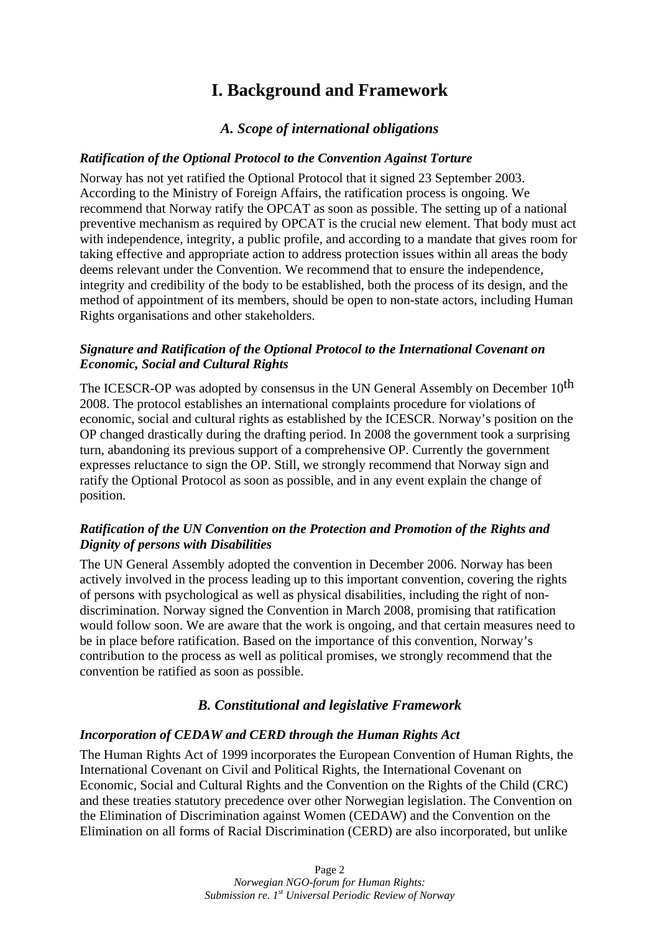# **I. Background and Framework**

# *A. Scope of international obligations*

#### *Ratification of the Optional Protocol to the Convention Against Torture*

Norway has not yet ratified the Optional Protocol that it signed 23 September 2003. According to the Ministry of Foreign Affairs, the ratification process is ongoing. We recommend that Norway ratify the OPCAT as soon as possible. The setting up of a national preventive mechanism as required by OPCAT is the crucial new element. That body must act with independence, integrity, a public profile, and according to a mandate that gives room for taking effective and appropriate action to address protection issues within all areas the body deems relevant under the Convention. We recommend that to ensure the independence, integrity and credibility of the body to be established, both the process of its design, and the method of appointment of its members, should be open to non-state actors, including Human Rights organisations and other stakeholders.

## *Signature and Ratification of the Optional Protocol to the International Covenant on Economic, Social and Cultural Rights*

The ICESCR-OP was adopted by consensus in the UN General Assembly on December 10<sup>th</sup> 2008. The protocol establishes an international complaints procedure for violations of economic, social and cultural rights as established by the ICESCR. Norway's position on the OP changed drastically during the drafting period. In 2008 the government took a surprising turn, abandoning its previous support of a comprehensive OP. Currently the government expresses reluctance to sign the OP. Still, we strongly recommend that Norway sign and ratify the Optional Protocol as soon as possible, and in any event explain the change of position.

## *Ratification of the UN Convention on the Protection and Promotion of the Rights and Dignity of persons with Disabilities*

The UN General Assembly adopted the convention in December 2006. Norway has been actively involved in the process leading up to this important convention, covering the rights of persons with psychological as well as physical disabilities, including the right of nondiscrimination. Norway signed the Convention in March 2008, promising that ratification would follow soon. We are aware that the work is ongoing, and that certain measures need to be in place before ratification. Based on the importance of this convention, Norway's contribution to the process as well as political promises, we strongly recommend that the convention be ratified as soon as possible.

# *B. Constitutional and legislative Framework*

## *Incorporation of CEDAW and CERD through the Human Rights Act*

The Human Rights Act of 1999 incorporates the European Convention of Human Rights, the International Covenant on Civil and Political Rights, the International Covenant on Economic, Social and Cultural Rights and the Convention on the Rights of the Child (CRC) and these treaties statutory precedence over other Norwegian legislation. The Convention on the Elimination of Discrimination against Women (CEDAW) and the Convention on the Elimination on all forms of Racial Discrimination (CERD) are also incorporated, but unlike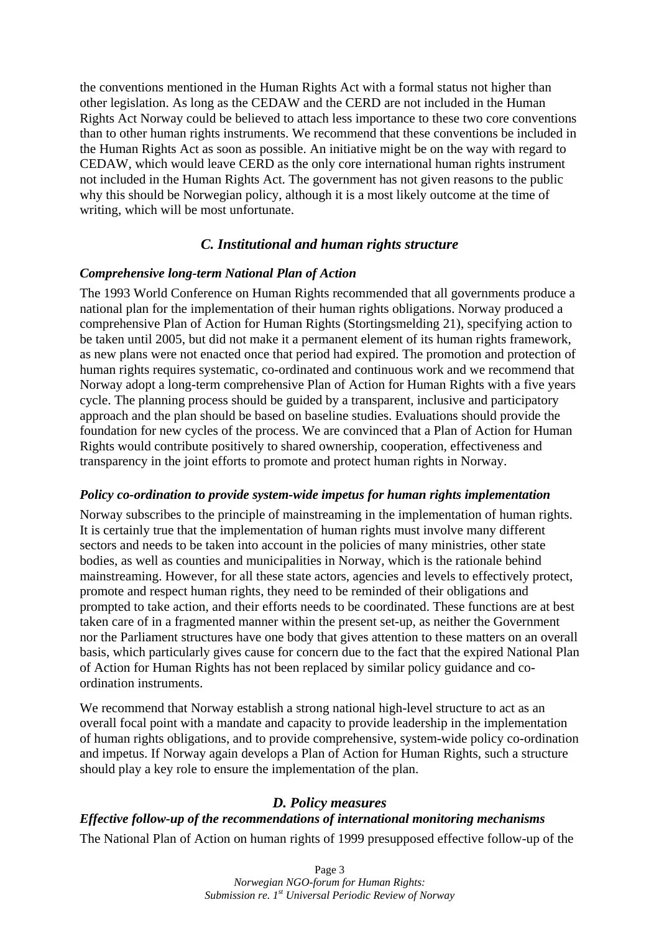the conventions mentioned in the Human Rights Act with a formal status not higher than other legislation. As long as the CEDAW and the CERD are not included in the Human Rights Act Norway could be believed to attach less importance to these two core conventions than to other human rights instruments. We recommend that these conventions be included in the Human Rights Act as soon as possible. An initiative might be on the way with regard to CEDAW, which would leave CERD as the only core international human rights instrument not included in the Human Rights Act. The government has not given reasons to the public why this should be Norwegian policy, although it is a most likely outcome at the time of writing, which will be most unfortunate.

#### *C. Institutional and human rights structure*

#### *Comprehensive long-term National Plan of Action*

The 1993 World Conference on Human Rights recommended that all governments produce a national plan for the implementation of their human rights obligations. Norway produced a comprehensive Plan of Action for Human Rights (Stortingsmelding 21), specifying action to be taken until 2005, but did not make it a permanent element of its human rights framework, as new plans were not enacted once that period had expired. The promotion and protection of human rights requires systematic, co-ordinated and continuous work and we recommend that Norway adopt a long-term comprehensive Plan of Action for Human Rights with a five years cycle. The planning process should be guided by a transparent, inclusive and participatory approach and the plan should be based on baseline studies. Evaluations should provide the foundation for new cycles of the process. We are convinced that a Plan of Action for Human Rights would contribute positively to shared ownership, cooperation, effectiveness and transparency in the joint efforts to promote and protect human rights in Norway.

#### *Policy co-ordination to provide system-wide impetus for human rights implementation*

Norway subscribes to the principle of mainstreaming in the implementation of human rights. It is certainly true that the implementation of human rights must involve many different sectors and needs to be taken into account in the policies of many ministries, other state bodies, as well as counties and municipalities in Norway, which is the rationale behind mainstreaming. However, for all these state actors, agencies and levels to effectively protect, promote and respect human rights, they need to be reminded of their obligations and prompted to take action, and their efforts needs to be coordinated. These functions are at best taken care of in a fragmented manner within the present set-up, as neither the Government nor the Parliament structures have one body that gives attention to these matters on an overall basis, which particularly gives cause for concern due to the fact that the expired National Plan of Action for Human Rights has not been replaced by similar policy guidance and coordination instruments.

We recommend that Norway establish a strong national high-level structure to act as an overall focal point with a mandate and capacity to provide leadership in the implementation of human rights obligations, and to provide comprehensive, system-wide policy co-ordination and impetus. If Norway again develops a Plan of Action for Human Rights, such a structure should play a key role to ensure the implementation of the plan.

## *D. Policy measures*

## *Effective follow-up of the recommendations of international monitoring mechanisms*

The National Plan of Action on human rights of 1999 presupposed effective follow-up of the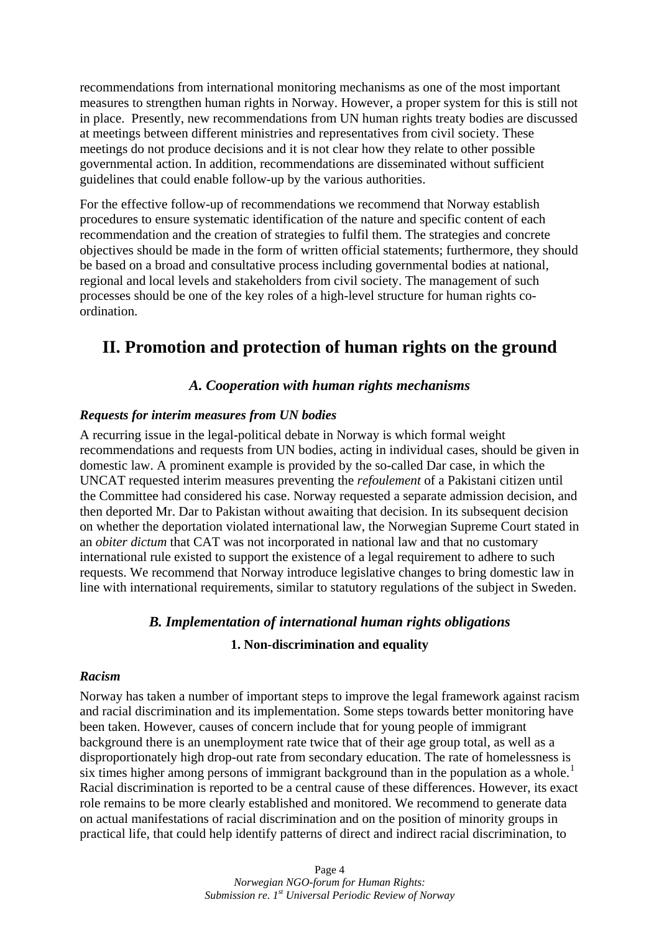recommendations from international monitoring mechanisms as one of the most important measures to strengthen human rights in Norway. However, a proper system for this is still not in place. Presently, new recommendations from UN human rights treaty bodies are discussed at meetings between different ministries and representatives from civil society. These meetings do not produce decisions and it is not clear how they relate to other possible governmental action. In addition, recommendations are disseminated without sufficient guidelines that could enable follow-up by the various authorities.

For the effective follow-up of recommendations we recommend that Norway establish procedures to ensure systematic identification of the nature and specific content of each recommendation and the creation of strategies to fulfil them. The strategies and concrete objectives should be made in the form of written official statements; furthermore, they should be based on a broad and consultative process including governmental bodies at national, regional and local levels and stakeholders from civil society. The management of such processes should be one of the key roles of a high-level structure for human rights coordination.

# **II. Promotion and protection of human rights on the ground**

## *A. Cooperation with human rights mechanisms*

#### *Requests for interim measures from UN bodies*

A recurring issue in the legal-political debate in Norway is which formal weight recommendations and requests from UN bodies, acting in individual cases, should be given in domestic law. A prominent example is provided by the so-called Dar case, in which the UNCAT requested interim measures preventing the *refoulement* of a Pakistani citizen until the Committee had considered his case. Norway requested a separate admission decision, and then deported Mr. Dar to Pakistan without awaiting that decision. In its subsequent decision on whether the deportation violated international law, the Norwegian Supreme Court stated in an *obiter dictum* that CAT was not incorporated in national law and that no customary international rule existed to support the existence of a legal requirement to adhere to such requests. We recommend that Norway introduce legislative changes to bring domestic law in line with international requirements, similar to statutory regulations of the subject in Sweden.

# *B. Implementation of international human rights obligations*

#### **1. Non-discrimination and equality**

#### *Racism*

Norway has taken a number of important steps to improve the legal framework against racism and racial discrimination and its implementation. Some steps towards better monitoring have been taken. However, causes of concern include that for young people of immigrant background there is an unemployment rate twice that of their age group total, as well as a disproportionately high drop-out rate from secondary education. The rate of homelessness is six times higher among persons of immigrant background than in the population as a whole.<sup>[1](#page-10-0)</sup> Racial discrimination is reported to be a central cause of these differences. However, its exact role remains to be more clearly established and monitored. We recommend to generate data on actual manifestations of racial discrimination and on the position of minority groups in practical life, that could help identify patterns of direct and indirect racial discrimination, to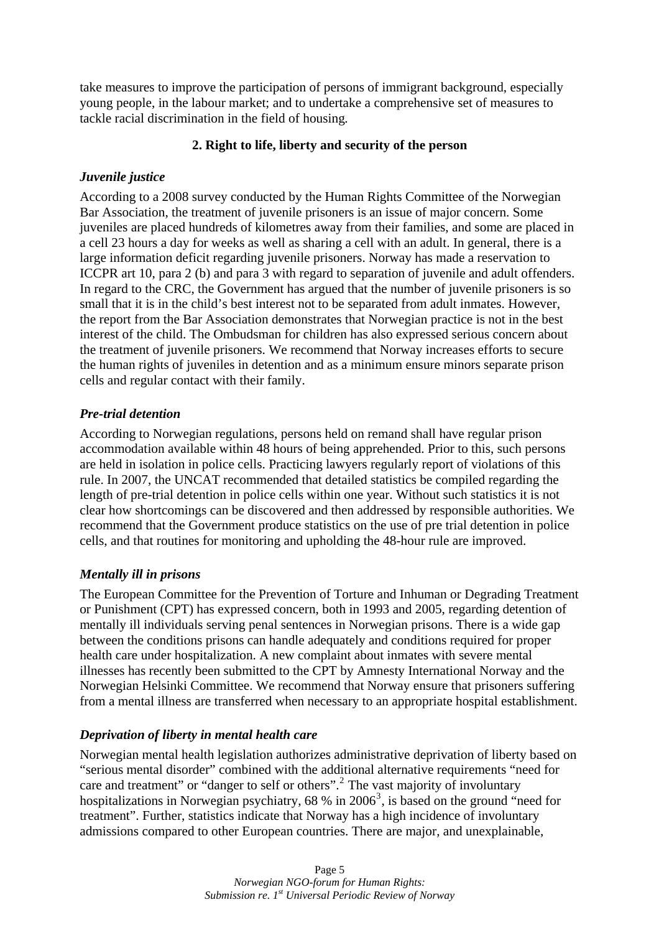take measures to improve the participation of persons of immigrant background, especially young people, in the labour market; and to undertake a comprehensive set of measures to tackle racial discrimination in the field of housing*.* 

## **2. Right to life, liberty and security of the person**

#### *Juvenile justice*

According to a 2008 survey conducted by the Human Rights Committee of the Norwegian Bar Association, the treatment of juvenile prisoners is an issue of major concern. Some juveniles are placed hundreds of kilometres away from their families, and some are placed in a cell 23 hours a day for weeks as well as sharing a cell with an adult. In general, there is a large information deficit regarding juvenile prisoners. Norway has made a reservation to ICCPR art 10, para 2 (b) and para 3 with regard to separation of juvenile and adult offenders. In regard to the CRC, the Government has argued that the number of juvenile prisoners is so small that it is in the child's best interest not to be separated from adult inmates. However, the report from the Bar Association demonstrates that Norwegian practice is not in the best interest of the child. The Ombudsman for children has also expressed serious concern about the treatment of juvenile prisoners. We recommend that Norway increases efforts to secure the human rights of juveniles in detention and as a minimum ensure minors separate prison cells and regular contact with their family.

## *Pre-trial detention*

According to Norwegian regulations, persons held on remand shall have regular prison accommodation available within 48 hours of being apprehended. Prior to this, such persons are held in isolation in police cells. Practicing lawyers regularly report of violations of this rule. In 2007, the UNCAT recommended that detailed statistics be compiled regarding the length of pre-trial detention in police cells within one year. Without such statistics it is not clear how shortcomings can be discovered and then addressed by responsible authorities. We recommend that the Government produce statistics on the use of pre trial detention in police cells, and that routines for monitoring and upholding the 48-hour rule are improved.

## *Mentally ill in prisons*

The European Committee for the Prevention of Torture and Inhuman or Degrading Treatment or Punishment (CPT) has expressed concern, both in 1993 and 2005, regarding detention of mentally ill individuals serving penal sentences in Norwegian prisons. There is a wide gap between the conditions prisons can handle adequately and conditions required for proper health care under hospitalization. A new complaint about inmates with severe mental illnesses has recently been submitted to the CPT by Amnesty International Norway and the Norwegian Helsinki Committee. We recommend that Norway ensure that prisoners suffering from a mental illness are transferred when necessary to an appropriate hospital establishment.

## *Deprivation of liberty in mental health care*

Norwegian mental health legislation authorizes administrative deprivation of liberty based on "serious mental disorder" combined with the additional alternative requirements "need for care and treatment" or "danger to self or others".<sup>[2](#page-10-1)</sup> The vast majority of involuntary hospitalizations in Norwegian psychiatry, 68 % in  $2006^3$  $2006^3$ , is based on the ground "need for treatment". Further, statistics indicate that Norway has a high incidence of involuntary admissions compared to other European countries. There are major, and unexplainable,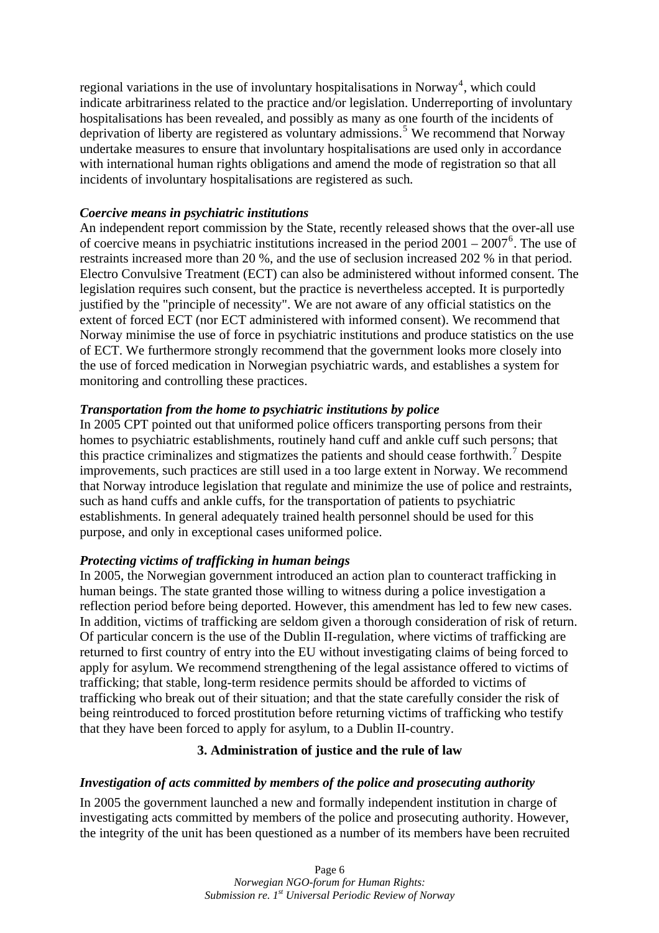regional variations in the use of involuntary hospitalisations in Norway<sup>[4](#page-10-1)</sup>, which could indicate arbitrariness related to the practice and/or legislation. Underreporting of involuntary hospitalisations has been revealed, and possibly as many as one fourth of the incidents of deprivation of liberty are registered as voluntary admissions.<sup>[5](#page-10-1)</sup> We recommend that Norway undertake measures to ensure that involuntary hospitalisations are used only in accordance with international human rights obligations and amend the mode of registration so that all incidents of involuntary hospitalisations are registered as such*.*

#### *Coercive means in psychiatric institutions*

An independent report commission by the State, recently released shows that the over-all use of coercive means in psychiatric institutions increased in the period  $2001 - 2007^6$  $2001 - 2007^6$ . The use of restraints increased more than 20 %, and the use of seclusion increased 202 % in that period. Electro Convulsive Treatment (ECT) can also be administered without informed consent. The legislation requires such consent, but the practice is nevertheless accepted. It is purportedly justified by the "principle of necessity". We are not aware of any official statistics on the extent of forced ECT (nor ECT administered with informed consent). We recommend that Norway minimise the use of force in psychiatric institutions and produce statistics on the use of ECT. We furthermore strongly recommend that the government looks more closely into the use of forced medication in Norwegian psychiatric wards, and establishes a system for monitoring and controlling these practices.

#### *Transportation from the home to psychiatric institutions by police*

In 2005 CPT pointed out that uniformed police officers transporting persons from their homes to psychiatric establishments, routinely hand cuff and ankle cuff such persons; that this practice criminalizes and stigmatizes the patients and should cease forthwith.<sup>[7](#page-10-1)</sup> Despite improvements, such practices are still used in a too large extent in Norway. We recommend that Norway introduce legislation that regulate and minimize the use of police and restraints, such as hand cuffs and ankle cuffs, for the transportation of patients to psychiatric establishments. In general adequately trained health personnel should be used for this purpose, and only in exceptional cases uniformed police.

## *Protecting victims of trafficking in human beings*

In 2005, the Norwegian government introduced an action plan to counteract trafficking in human beings. The state granted those willing to witness during a police investigation a reflection period before being deported. However, this amendment has led to few new cases. In addition, victims of trafficking are seldom given a thorough consideration of risk of return. Of particular concern is the use of the Dublin II-regulation, where victims of trafficking are returned to first country of entry into the EU without investigating claims of being forced to apply for asylum. We recommend strengthening of the legal assistance offered to victims of trafficking; that stable, long-term residence permits should be afforded to victims of trafficking who break out of their situation; and that the state carefully consider the risk of being reintroduced to forced prostitution before returning victims of trafficking who testify that they have been forced to apply for asylum, to a Dublin II-country.

## **3. Administration of justice and the rule of law**

#### *Investigation of acts committed by members of the police and prosecuting authority*

In 2005 the government launched a new and formally independent institution in charge of investigating acts committed by members of the police and prosecuting authority. However, the integrity of the unit has been questioned as a number of its members have been recruited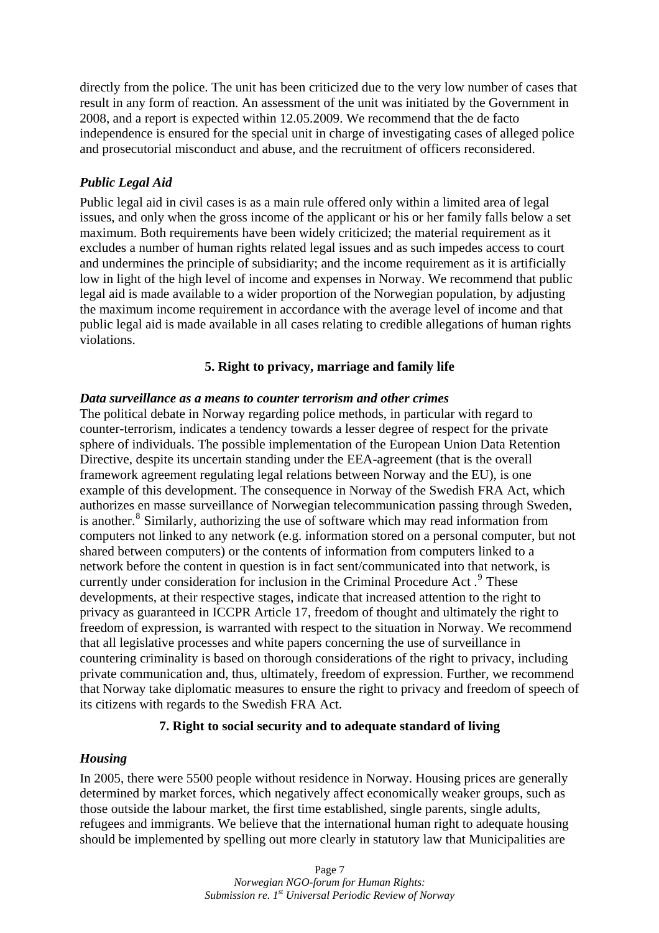directly from the police. The unit has been criticized due to the very low number of cases that result in any form of reaction. An assessment of the unit was initiated by the Government in 2008, and a report is expected within 12.05.2009. We recommend that the de facto independence is ensured for the special unit in charge of investigating cases of alleged police and prosecutorial misconduct and abuse, and the recruitment of officers reconsidered.

## *Public Legal Aid*

Public legal aid in civil cases is as a main rule offered only within a limited area of legal issues, and only when the gross income of the applicant or his or her family falls below a set maximum. Both requirements have been widely criticized; the material requirement as it excludes a number of human rights related legal issues and as such impedes access to court and undermines the principle of subsidiarity; and the income requirement as it is artificially low in light of the high level of income and expenses in Norway. We recommend that public legal aid is made available to a wider proportion of the Norwegian population, by adjusting the maximum income requirement in accordance with the average level of income and that public legal aid is made available in all cases relating to credible allegations of human rights violations.

#### **5. Right to privacy, marriage and family life**

#### *Data surveillance as a means to counter terrorism and other crimes*

The political debate in Norway regarding police methods, in particular with regard to counter-terrorism, indicates a tendency towards a lesser degree of respect for the private sphere of individuals. The possible implementation of the European Union Data Retention Directive, despite its uncertain standing under the EEA-agreement (that is the overall framework agreement regulating legal relations between Norway and the EU), is one example of this development. The consequence in Norway of the Swedish FRA Act, which authorizes en masse surveillance of Norwegian telecommunication passing through Sweden, is another.<sup>[8](#page-10-1)</sup> Similarly, authorizing the use of software which may read information from computers not linked to any network (e.g. information stored on a personal computer, but not shared between computers) or the contents of information from computers linked to a network before the content in question is in fact sent/communicated into that network, is currently under consideration for inclusion in the Criminal Procedure Act.<sup>[9](#page-10-1)</sup> These developments, at their respective stages, indicate that increased attention to the right to privacy as guaranteed in ICCPR Article 17, freedom of thought and ultimately the right to freedom of expression, is warranted with respect to the situation in Norway. We recommend that all legislative processes and white papers concerning the use of surveillance in countering criminality is based on thorough considerations of the right to privacy, including private communication and, thus, ultimately, freedom of expression. Further, we recommend that Norway take diplomatic measures to ensure the right to privacy and freedom of speech of its citizens with regards to the Swedish FRA Act.

#### **7. Right to social security and to adequate standard of living**

#### *Housing*

In 2005, there were 5500 people without residence in Norway. Housing prices are generally determined by market forces, which negatively affect economically weaker groups, such as those outside the labour market, the first time established, single parents, single adults, refugees and immigrants. We believe that the international human right to adequate housing should be implemented by spelling out more clearly in statutory law that Municipalities are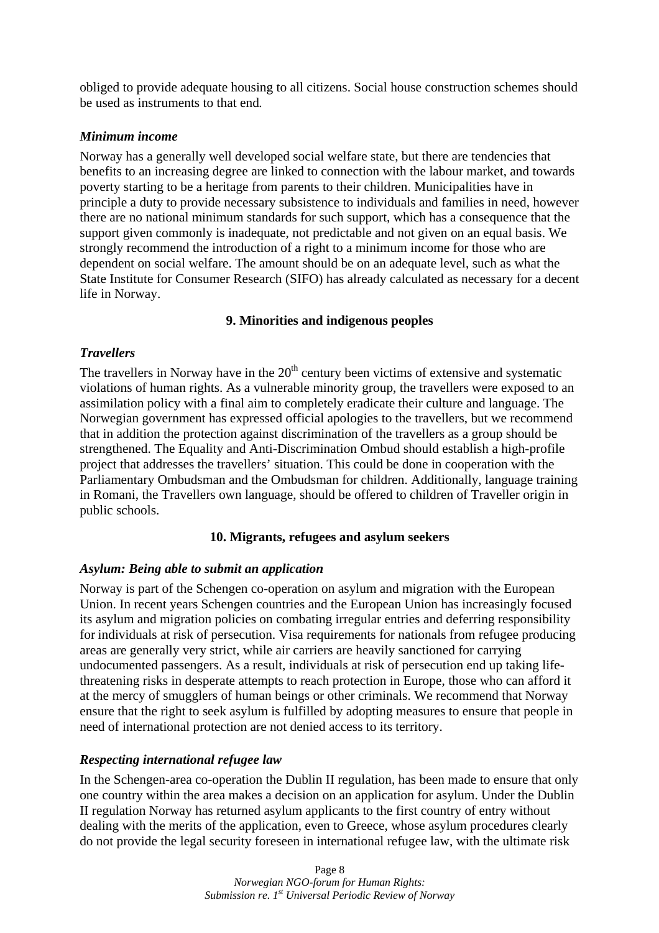obliged to provide adequate housing to all citizens. Social house construction schemes should be used as instruments to that end*.*

#### *Minimum income*

Norway has a generally well developed social welfare state, but there are tendencies that benefits to an increasing degree are linked to connection with the labour market, and towards poverty starting to be a heritage from parents to their children. Municipalities have in principle a duty to provide necessary subsistence to individuals and families in need, however there are no national minimum standards for such support, which has a consequence that the support given commonly is inadequate, not predictable and not given on an equal basis. We strongly recommend the introduction of a right to a minimum income for those who are dependent on social welfare. The amount should be on an adequate level, such as what the State Institute for Consumer Research (SIFO) has already calculated as necessary for a decent life in Norway.

## **9. Minorities and indigenous peoples**

#### *Travellers*

The travellers in Norway have in the  $20<sup>th</sup>$  century been victims of extensive and systematic violations of human rights. As a vulnerable minority group, the travellers were exposed to an assimilation policy with a final aim to completely eradicate their culture and language. The Norwegian government has expressed official apologies to the travellers, but we recommend that in addition the protection against discrimination of the travellers as a group should be strengthened. The Equality and Anti-Discrimination Ombud should establish a high-profile project that addresses the travellers' situation. This could be done in cooperation with the Parliamentary Ombudsman and the Ombudsman for children. Additionally, language training in Romani, the Travellers own language, should be offered to children of Traveller origin in public schools.

## **10. Migrants, refugees and asylum seekers**

## *Asylum: Being able to submit an application*

Norway is part of the Schengen co-operation on asylum and migration with the European Union. In recent years Schengen countries and the European Union has increasingly focused its asylum and migration policies on combating irregular entries and deferring responsibility for individuals at risk of persecution. Visa requirements for nationals from refugee producing areas are generally very strict, while air carriers are heavily sanctioned for carrying undocumented passengers. As a result, individuals at risk of persecution end up taking lifethreatening risks in desperate attempts to reach protection in Europe, those who can afford it at the mercy of smugglers of human beings or other criminals. We recommend that Norway ensure that the right to seek asylum is fulfilled by adopting measures to ensure that people in need of international protection are not denied access to its territory.

## *Respecting international refugee law*

In the Schengen-area co-operation the Dublin II regulation, has been made to ensure that only one country within the area makes a decision on an application for asylum. Under the Dublin II regulation Norway has returned asylum applicants to the first country of entry without dealing with the merits of the application, even to Greece, whose asylum procedures clearly do not provide the legal security foreseen in international refugee law, with the ultimate risk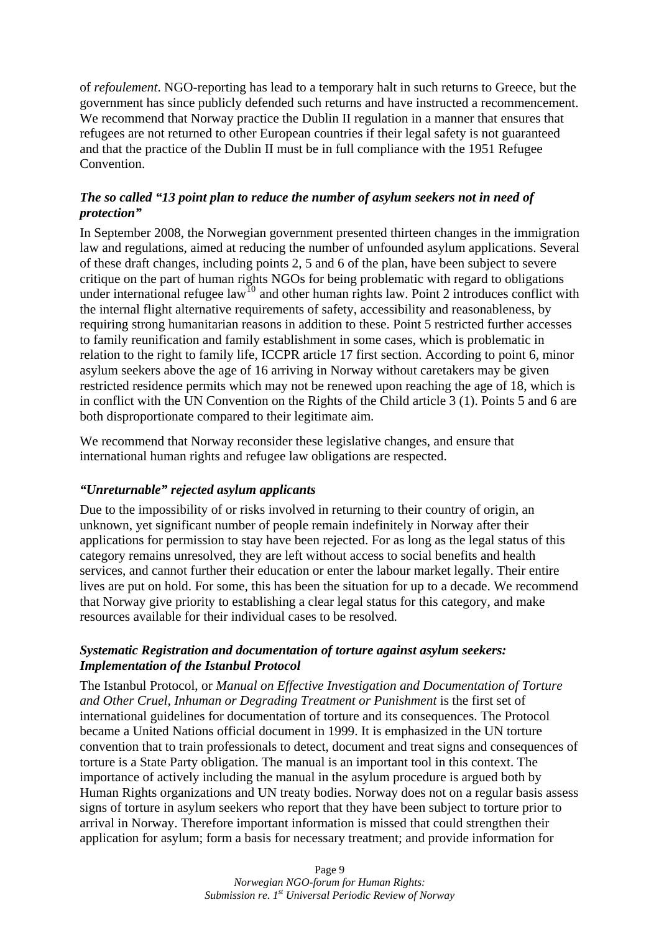of *refoulement*. NGO-reporting has lead to a temporary halt in such returns to Greece, but the government has since publicly defended such returns and have instructed a recommencement. We recommend that Norway practice the Dublin II regulation in a manner that ensures that refugees are not returned to other European countries if their legal safety is not guaranteed and that the practice of the Dublin II must be in full compliance with the 1951 Refugee Convention.

## *The so called "13 point plan to reduce the number of asylum seekers not in need of protection"*

In September 2008, the Norwegian government presented thirteen changes in the immigration law and regulations, aimed at reducing the number of unfounded asylum applications. Several of these draft changes, including points 2, 5 and 6 of the plan, have been subject to severe critique on the part of human rights NGOs for being problematic with regard to obligations under international refugee law<sup>[10](#page-10-1)</sup> and other human rights law. Point 2 introduces conflict with the internal flight alternative requirements of safety, accessibility and reasonableness, by requiring strong humanitarian reasons in addition to these. Point 5 restricted further accesses to family reunification and family establishment in some cases, which is problematic in relation to the right to family life, ICCPR article 17 first section. According to point 6, minor asylum seekers above the age of 16 arriving in Norway without caretakers may be given restricted residence permits which may not be renewed upon reaching the age of 18, which is in conflict with the UN Convention on the Rights of the Child article 3 (1). Points 5 and 6 are both disproportionate compared to their legitimate aim.

We recommend that Norway reconsider these legislative changes, and ensure that international human rights and refugee law obligations are respected.

## *"Unreturnable" rejected asylum applicants*

Due to the impossibility of or risks involved in returning to their country of origin, an unknown, yet significant number of people remain indefinitely in Norway after their applications for permission to stay have been rejected. For as long as the legal status of this category remains unresolved, they are left without access to social benefits and health services, and cannot further their education or enter the labour market legally. Their entire lives are put on hold. For some, this has been the situation for up to a decade. We recommend that Norway give priority to establishing a clear legal status for this category, and make resources available for their individual cases to be resolved*.* 

#### *Systematic Registration and documentation of torture against asylum seekers: Implementation of the Istanbul Protocol*

The Istanbul Protocol, or *Manual on Effective Investigation and Documentation of Torture and Other Cruel, Inhuman or Degrading Treatment or Punishment* is the first set of international guidelines for documentation of torture and its consequences. The Protocol became a United Nations official document in 1999. It is emphasized in the UN torture convention that to train professionals to detect, document and treat signs and consequences of torture is a State Party obligation. The manual is an important tool in this context. The importance of actively including the manual in the asylum procedure is argued both by Human Rights organizations and UN treaty bodies. Norway does not on a regular basis assess signs of torture in asylum seekers who report that they have been subject to torture prior to arrival in Norway. Therefore important information is missed that could strengthen their application for asylum; form a basis for necessary treatment; and provide information for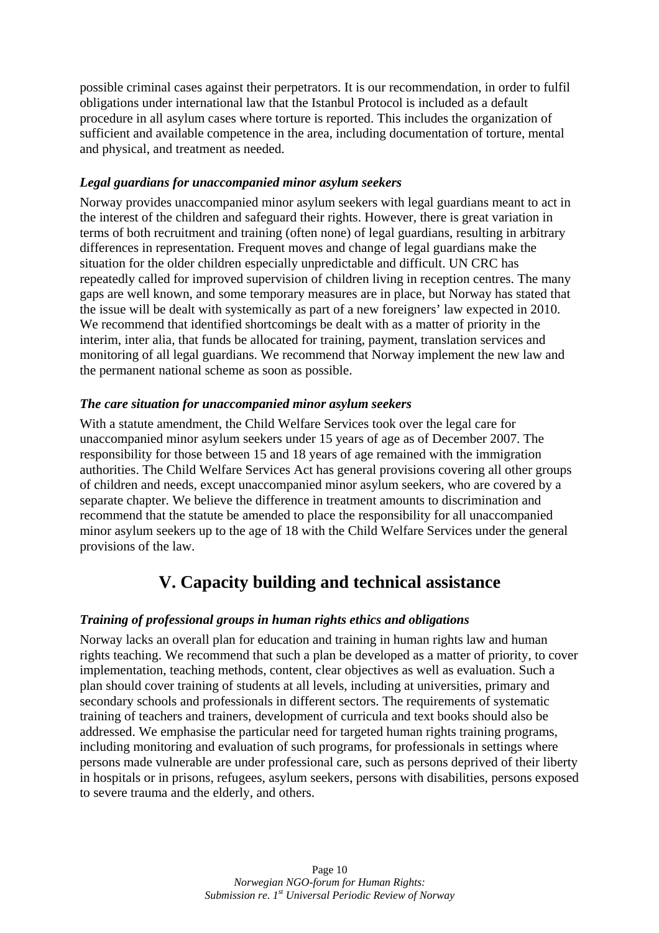possible criminal cases against their perpetrators. It is our recommendation, in order to fulfil obligations under international law that the Istanbul Protocol is included as a default procedure in all asylum cases where torture is reported. This includes the organization of sufficient and available competence in the area, including documentation of torture, mental and physical, and treatment as needed.

## *Legal guardians for unaccompanied minor asylum seekers*

Norway provides unaccompanied minor asylum seekers with legal guardians meant to act in the interest of the children and safeguard their rights. However, there is great variation in terms of both recruitment and training (often none) of legal guardians, resulting in arbitrary differences in representation. Frequent moves and change of legal guardians make the situation for the older children especially unpredictable and difficult. UN CRC has repeatedly called for improved supervision of children living in reception centres. The many gaps are well known, and some temporary measures are in place, but Norway has stated that the issue will be dealt with systemically as part of a new foreigners' law expected in 2010. We recommend that identified shortcomings be dealt with as a matter of priority in the interim, inter alia, that funds be allocated for training, payment, translation services and monitoring of all legal guardians. We recommend that Norway implement the new law and the permanent national scheme as soon as possible.

## *The care situation for unaccompanied minor asylum seekers*

With a statute amendment, the Child Welfare Services took over the legal care for unaccompanied minor asylum seekers under 15 years of age as of December 2007. The responsibility for those between 15 and 18 years of age remained with the immigration authorities. The Child Welfare Services Act has general provisions covering all other groups of children and needs, except unaccompanied minor asylum seekers, who are covered by a separate chapter. We believe the difference in treatment amounts to discrimination and recommend that the statute be amended to place the responsibility for all unaccompanied minor asylum seekers up to the age of 18 with the Child Welfare Services under the general provisions of the law.

# **V. Capacity building and technical assistance**

# *Training of professional groups in human rights ethics and obligations*

Norway lacks an overall plan for education and training in human rights law and human rights teaching. We recommend that such a plan be developed as a matter of priority, to cover implementation, teaching methods, content, clear objectives as well as evaluation. Such a plan should cover training of students at all levels, including at universities, primary and secondary schools and professionals in different sectors. The requirements of systematic training of teachers and trainers, development of curricula and text books should also be addressed. We emphasise the particular need for targeted human rights training programs, including monitoring and evaluation of such programs, for professionals in settings where persons made vulnerable are under professional care, such as persons deprived of their liberty in hospitals or in prisons, refugees, asylum seekers, persons with disabilities, persons exposed to severe trauma and the elderly, and others.